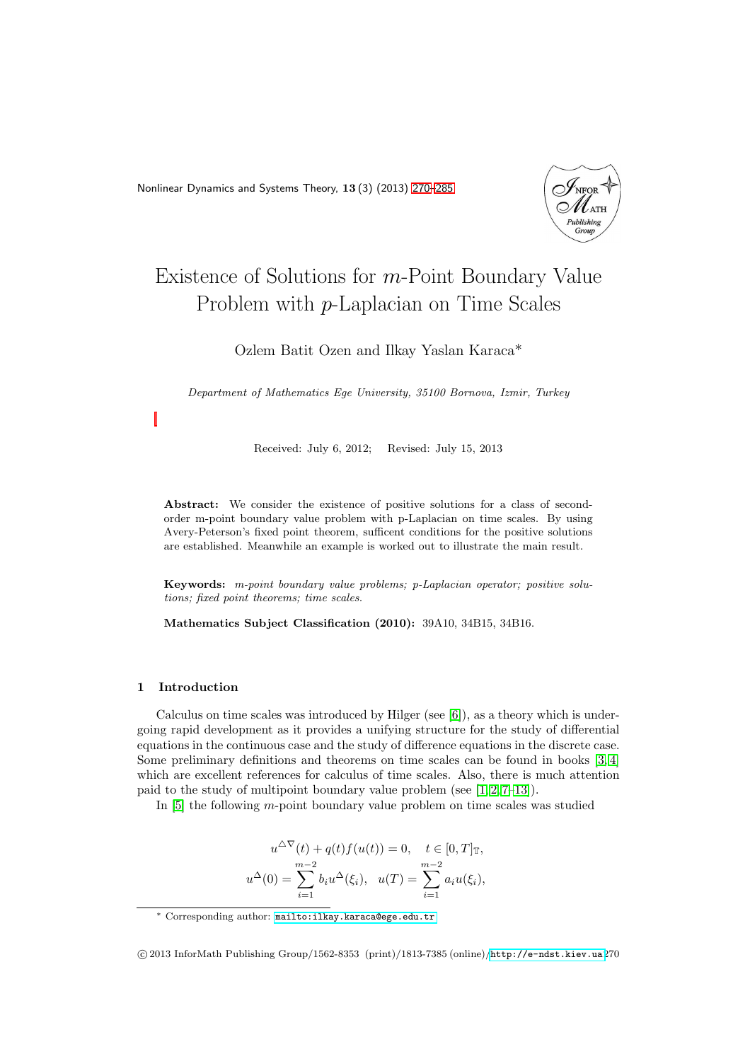<span id="page-0-0"></span>Nonlinear Dynamics and Systems Theory, 13 (3) (2013) [270–](#page-0-0)[285](#page-15-0)



# Existence of Solutions for m-Point Boundary Value Problem with p-Laplacian on Time Scales

Ozlem Batit Ozen and Ilkay Yaslan Karaca\*

Department of Mathematics Ege University, 35100 Bornova, Izmir, Turkey

Received: July 6, 2012; Revised: July 15, 2013

Abstract: We consider the existence of positive solutions for a class of secondorder m-point boundary value problem with p-Laplacian on time scales. By using Avery-Peterson's fixed point theorem, sufficent conditions for the positive solutions are established. Meanwhile an example is worked out to illustrate the main result.

Keywords: m-point boundary value problems; p-Laplacian operator; positive solutions; fixed point theorems; time scales.

Mathematics Subject Classification (2010): 39A10, 34B15, 34B16.

## 1 Introduction

Calculus on time scales was introduced by Hilger (see  $[6]$ ), as a theory which is undergoing rapid development as it provides a unifying structure for the study of differential equations in the continuous case and the study of difference equations in the discrete case. Some preliminary definitions and theorems on time scales can be found in books [\[3,](#page-15-2) [4\]](#page-15-3) which are excellent references for calculus of time scales. Also, there is much attention paid to the study of multipoint boundary value problem (see  $[1, 2, 7-13]$  $[1, 2, 7-13]$  $[1, 2, 7-13]$  $[1, 2, 7-13]$ ).

In [\[5\]](#page-15-8) the following m-point boundary value problem on time scales was studied

$$
u^{\Delta \nabla}(t) + q(t)f(u(t)) = 0, \quad t \in [0, T]_{\mathbb{T}},
$$
  

$$
u^{\Delta}(0) = \sum_{i=1}^{m-2} b_i u^{\Delta}(\xi_i), \quad u(T) = \sum_{i=1}^{m-2} a_i u(\xi_i),
$$

<sup>∗</sup> Corresponding author: [mailto:ilkay.karaca@ege.edu.tr](mailto: ilkay.karaca@ege.edu.tr )

c 2013 InforMath Publishing Group/1562-8353 (print)/1813-7385 (online)/<http://e-ndst.kiev.ua>270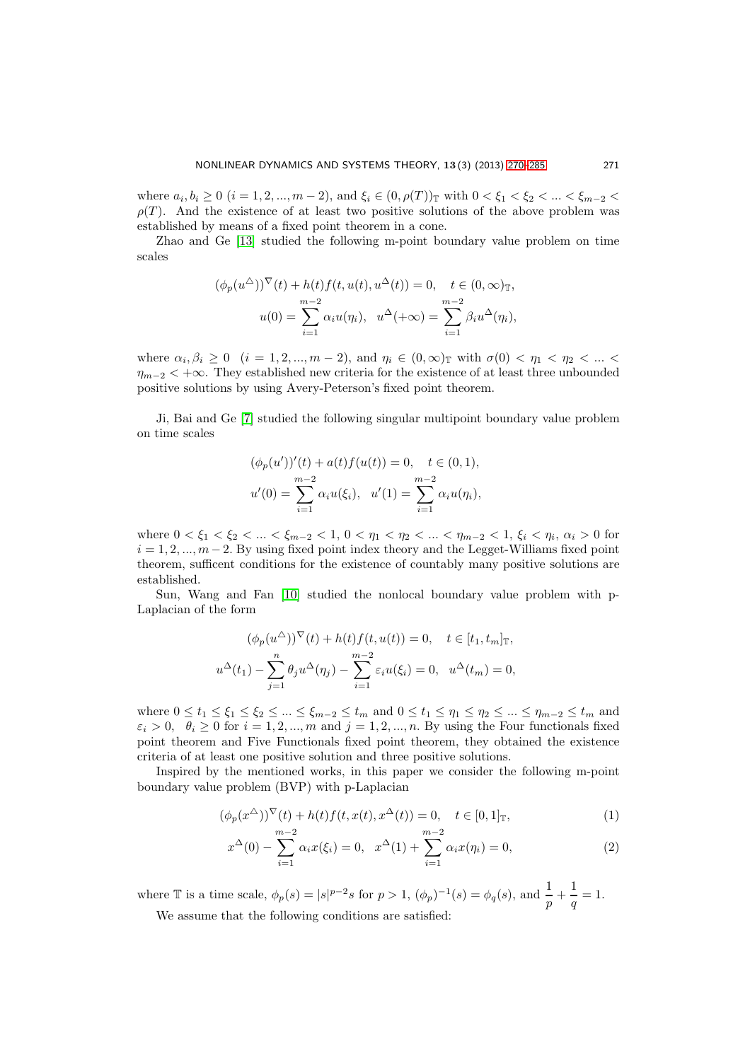where  $a_i, b_i \ge 0$   $(i = 1, 2, ..., m - 2)$ , and  $\xi_i \in (0, \rho(T))_{\mathbb{T}}$  with  $0 < \xi_1 < \xi_2 < ... < \xi_{m-2} <$  $\rho(T)$ . And the existence of at least two positive solutions of the above problem was established by means of a fixed point theorem in a cone.

Zhao and Ge [\[13\]](#page-15-7) studied the following m-point boundary value problem on time scales

$$
(\phi_p(u^{\Delta}))^{\nabla}(t) + h(t)f(t, u(t), u^{\Delta}(t)) = 0, \quad t \in (0, \infty)_{\mathbb{T}},
$$

$$
u(0) = \sum_{i=1}^{m-2} \alpha_i u(\eta_i), \quad u^{\Delta}(+\infty) = \sum_{i=1}^{m-2} \beta_i u^{\Delta}(\eta_i),
$$

where  $\alpha_i, \beta_i \ge 0$   $(i = 1, 2, ..., m - 2)$ , and  $\eta_i \in (0, \infty)$  with  $\sigma(0) < \eta_1 < \eta_2 < ... <$  $\eta_{m-2}$  < + $\infty$ . They established new criteria for the existence of at least three unbounded positive solutions by using Avery-Peterson's fixed point theorem.

Ji, Bai and Ge [\[7\]](#page-15-6) studied the following singular multipoint boundary value problem on time scales

$$
(\phi_p(u'))'(t) + a(t)f(u(t)) = 0, \quad t \in (0, 1),
$$
  

$$
u'(0) = \sum_{i=1}^{m-2} \alpha_i u(\xi_i), \quad u'(1) = \sum_{i=1}^{m-2} \alpha_i u(\eta_i),
$$

where  $0 < \xi_1 < \xi_2 < ... < \xi_{m-2} < 1, 0 < \eta_1 < \eta_2 < ... < \eta_{m-2} < 1, \xi_i < \eta_i, \alpha_i > 0$  for  $i = 1, 2, ..., m - 2$ . By using fixed point index theory and the Legget-Williams fixed point theorem, sufficent conditions for the existence of countably many positive solutions are established.

Sun, Wang and Fan [\[10\]](#page-15-9) studied the nonlocal boundary value problem with p-Laplacian of the form

$$
(\phi_p(u^{\Delta}))^{\nabla}(t) + h(t)f(t, u(t)) = 0, \quad t \in [t_1, t_m]_{\mathbb{T}},
$$
  

$$
u^{\Delta}(t_1) - \sum_{j=1}^n \theta_j u^{\Delta}(\eta_j) - \sum_{i=1}^{m-2} \varepsilon_i u(\xi_i) = 0, \quad u^{\Delta}(t_m) = 0,
$$

where  $0 \leq t_1 \leq \xi_1 \leq \xi_2 \leq \ldots \leq \xi_{m-2} \leq t_m$  and  $0 \leq t_1 \leq \eta_1 \leq \eta_2 \leq \ldots \leq \eta_{m-2} \leq t_m$  and  $\varepsilon_i > 0$ ,  $\theta_i > 0$  for  $i = 1, 2, ..., m$  and  $j = 1, 2, ..., n$ . By using the Four functionals fixed point theorem and Five Functionals fixed point theorem, they obtained the existence criteria of at least one positive solution and three positive solutions.

Inspired by the mentioned works, in this paper we consider the following m-point boundary value problem (BVP) with p-Laplacian

<span id="page-1-0"></span>
$$
(\phi_p(x^{\Delta}))^{\nabla}(t) + h(t)f(t, x(t), x^{\Delta}(t)) = 0, \quad t \in [0, 1]_{\mathbb{T}},
$$
  
\n
$$
m-2 \qquad m-2 \qquad (1)
$$

$$
x^{\Delta}(0) - \sum_{i=1}^{m-2} \alpha_i x(\xi_i) = 0, \quad x^{\Delta}(1) + \sum_{i=1}^{m-2} \alpha_i x(\eta_i) = 0,
$$
 (2)

where T is a time scale,  $\phi_p(s) = |s|^{p-2} s$  for  $p > 1$ ,  $(\phi_p)^{-1}(s) = \phi_q(s)$ , and  $\frac{1}{p} + \frac{1}{q}$  $\frac{1}{q} = 1.$ 

We assume that the following conditions are satisfied: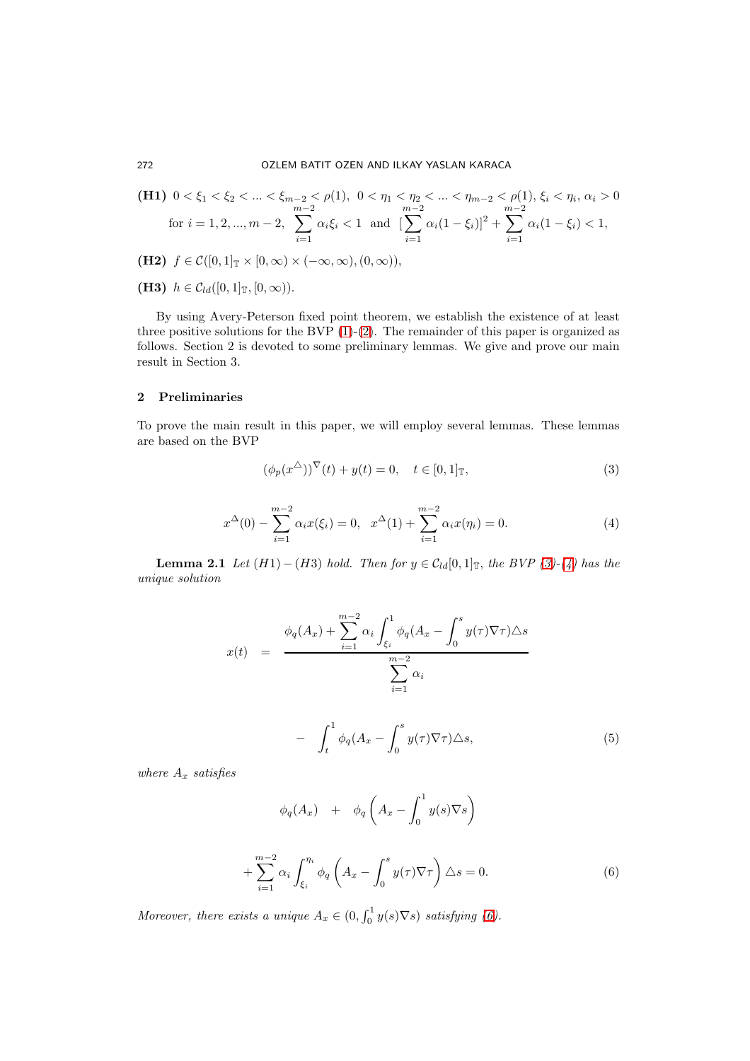(H1) 
$$
0 < \xi_1 < \xi_2 < ... < \xi_{m-2} < \rho(1)
$$
,  $0 < \eta_1 < \eta_2 < ... < \eta_{m-2} < \rho(1)$ ,  $\xi_i < \eta_i$ ,  $\alpha_i > 0$   
for  $i = 1, 2, ..., m-2$ ,  $\sum_{i=1}^{m-2} \alpha_i \xi_i < 1$  and  $\left[\sum_{i=1}^{m-2} \alpha_i (1 - \xi_i)\right]^2 + \sum_{i=1}^{m-2} \alpha_i (1 - \xi_i) < 1$ ,

- (H2)  $f \in \mathcal{C}([0,1]_{\mathbb{T}} \times [0,\infty) \times (-\infty,\infty), (0,\infty)),$
- (**H3)**  $h \in C_{ld}([0,1]_{\mathbb{T}}, [0,\infty)).$

By using Avery-Peterson fixed point theorem, we establish the existence of at least three positive solutions for the BVP  $(1)-(2)$  $(1)-(2)$ . The remainder of this paper is organized as follows. Section 2 is devoted to some preliminary lemmas. We give and prove our main result in Section 3.

## 2 Preliminaries

To prove the main result in this paper, we will employ several lemmas. These lemmas are based on the BVP

<span id="page-2-0"></span>
$$
(\phi_p(x^{\Delta}))^{\nabla}(t) + y(t) = 0, \quad t \in [0, 1]_{\mathbb{T}},
$$
\n(3)

<span id="page-2-1"></span>
$$
x^{\Delta}(0) - \sum_{i=1}^{m-2} \alpha_i x(\xi_i) = 0, \quad x^{\Delta}(1) + \sum_{i=1}^{m-2} \alpha_i x(\eta_i) = 0.
$$
 (4)

**Lemma 2.1** *Let*  $(H1) - (H3)$  *hold. Then for*  $y \in C_{ld}[0,1]$ <sub>T</sub>, *the BVP* [\(3\)](#page-2-0)*-*[\(4\)](#page-2-1) *has the unique solution*

$$
x(t) = \frac{\phi_q(A_x) + \sum_{i=1}^{m-2} \alpha_i \int_{\xi_i}^1 \phi_q(A_x - \int_0^s y(\tau) \nabla \tau) \Delta s}{\sum_{i=1}^{m-2} \alpha_i}
$$

$$
- \int_0^1 \phi_q(A_x - \int_s^s y(\tau) \nabla \tau) \Delta s, \qquad (5)
$$

<span id="page-2-3"></span>
$$
\int_t^{\frac{1}{t}+q(x)}\int_0^{\frac{1}{t}+\frac{1}{t}}\left|\int_0^t\left|\frac{f(t)}{f(t)}\right|^{q(x)}\right|^{q(x)}dx
$$

*where* A<sup>x</sup> *satisfies*

$$
\phi_q(A_x) + \phi_q\left(A_x - \int_0^1 y(s)\nabla s\right)
$$

<span id="page-2-2"></span>
$$
+\sum_{i=1}^{m-2} \alpha_i \int_{\xi_i}^{\eta_i} \phi_q \left( A_x - \int_0^s y(\tau) \nabla \tau \right) \Delta s = 0. \tag{6}
$$

*Moreover, there exists a unique*  $A_x \in (0, \int_0^1 y(s) \nabla s)$  *satisfying* [\(6\)](#page-2-2)*.*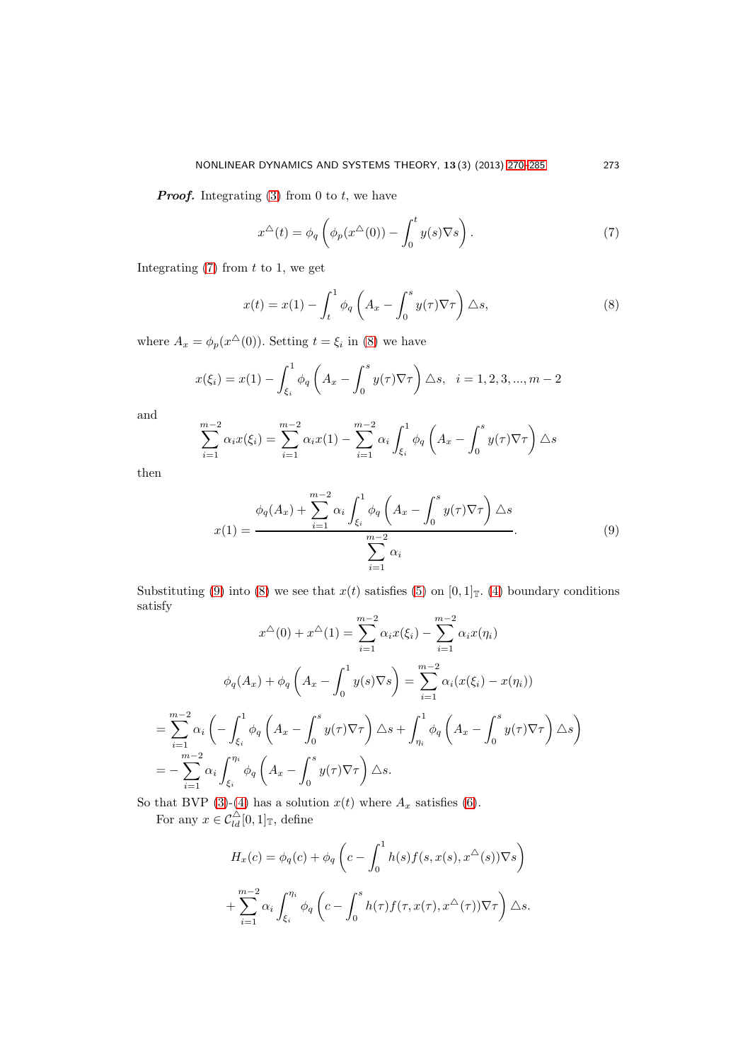**Proof.** Integrating [\(3\)](#page-2-0) from 0 to t, we have

<span id="page-3-0"></span>
$$
x^{\Delta}(t) = \phi_q\left(\phi_p(x^{\Delta}(0)) - \int_0^t y(s)\nabla s\right).
$$
 (7)

Integrating  $(7)$  from t to 1, we get

<span id="page-3-1"></span>
$$
x(t) = x(1) - \int_{t}^{1} \phi_{q} \left( A_{x} - \int_{0}^{s} y(\tau) \nabla \tau \right) \triangle s, \tag{8}
$$

where  $A_x = \phi_p(x^{\Delta}(0))$ . Setting  $t = \xi_i$  in [\(8\)](#page-3-1) we have

$$
x(\xi_i) = x(1) - \int_{\xi_i}^1 \phi_q \left( A_x - \int_0^s y(\tau) \nabla \tau \right) \triangle s, \quad i = 1, 2, 3, ..., m-2
$$

and

$$
\sum_{i=1}^{m-2} \alpha_i x(\xi_i) = \sum_{i=1}^{m-2} \alpha_i x(1) - \sum_{i=1}^{m-2} \alpha_i \int_{\xi_i}^1 \phi_q \left( A_x - \int_0^s y(\tau) \nabla \tau \right) \Delta s
$$

then

<span id="page-3-2"></span>
$$
x(1) = \frac{\phi_q(A_x) + \sum_{i=1}^{m-2} \alpha_i \int_{\xi_i}^1 \phi_q \left(A_x - \int_0^s y(\tau) \nabla \tau\right) \Delta s}{\sum_{i=1}^{m-2} \alpha_i}.
$$
\n(9)

Substituting [\(9\)](#page-3-2) into [\(8\)](#page-3-1) we see that  $x(t)$  satisfies [\(5\)](#page-2-3) on [0, 1]<sub>T</sub>. [\(4\)](#page-2-1) boundary conditions satisfy

$$
x^{\triangle}(0) + x^{\triangle}(1) = \sum_{i=1}^{m-2} \alpha_i x(\xi_i) - \sum_{i=1}^{m-2} \alpha_i x(\eta_i)
$$

$$
\phi_q(A_x) + \phi_q\left(A_x - \int_0^1 y(s)\nabla s\right) = \sum_{i=1}^{m-2} \alpha_i (x(\xi_i) - x(\eta_i))
$$

$$
= \sum_{i=1}^{m-2} \alpha_i \left(-\int_{\xi_i}^1 \phi_q\left(A_x - \int_0^s y(\tau)\nabla \tau\right) \triangle s + \int_{\eta_i}^1 \phi_q\left(A_x - \int_0^s y(\tau)\nabla \tau\right) \triangle s\right)
$$

$$
= -\sum_{i=1}^{m-2} \alpha_i \int_{\xi_i}^{\eta_i} \phi_q\left(A_x - \int_0^s y(\tau)\nabla \tau\right) \triangle s.
$$

So that BVP [\(3\)](#page-2-0)-[\(4\)](#page-2-1) has a solution  $x(t)$  where  $A_x$  satisfies [\(6\)](#page-2-2).

For any  $x \in C_{ld}^{\triangle}[0,1]$ <sub>T</sub>, define

$$
H_x(c) = \phi_q(c) + \phi_q\left(c - \int_0^1 h(s)f(s, x(s), x^{\Delta}(s))\nabla s\right)
$$
  
+ 
$$
\sum_{i=1}^{m-2} \alpha_i \int_{\xi_i}^{\eta_i} \phi_q\left(c - \int_0^s h(\tau)f(\tau, x(\tau), x^{\Delta}(\tau))\nabla \tau\right) \Delta s.
$$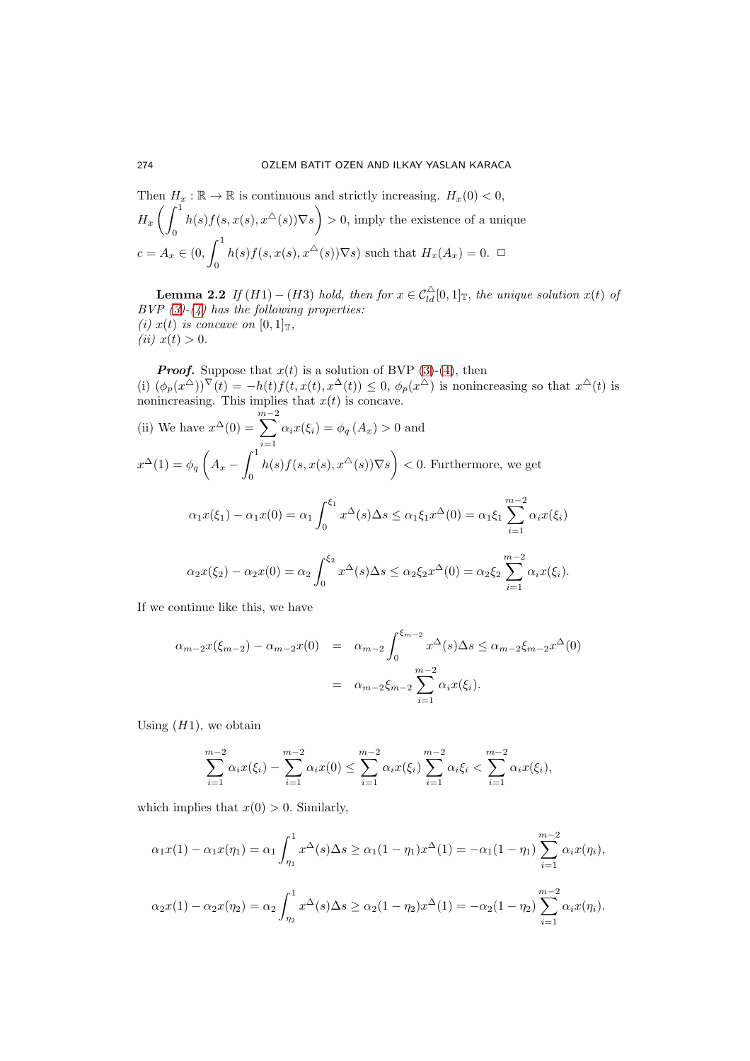Then 
$$
H_x : \mathbb{R} \to \mathbb{R}
$$
 is continuous and strictly increasing.  $H_x(0) < 0$ ,  
\n $H_x \left( \int_0^1 h(s) f(s, x(s), x^{\Delta}(s)) \nabla s \right) > 0$ , imply the existence of a unique  
\n $c = A_x \in (0, \int_0^1 h(s) f(s, x(s), x^{\Delta}(s)) \nabla s)$  such that  $H_x(A_x) = 0$ .  $\square$ 

**Lemma 2.2** If  $(H1) - (H3)$  *hold, then for*  $x \in C_{ld}^{\Delta}[0,1]$ <sub>T</sub>, the unique solution  $x(t)$  of *BVP [\(3\)](#page-2-0)-[\(4\)](#page-2-1) has the following properties: (i)*  $x(t)$  *is concave on*  $[0, 1]$ <sub>T</sub>, *(ii)*  $x(t) > 0$ .

**Proof.** Suppose that  $x(t)$  is a solution of BVP [\(3\)](#page-2-0)-[\(4\)](#page-2-1), then (i)  $(\phi_p(x^{\Delta}))^{\nabla}(t) = -h(t)f(t, x(t), x^{\Delta}(t)) \leq 0$ ,  $\phi_p(x^{\Delta})$  is nonincreasing so that  $x^{\Delta}(t)$  is

nonincreasing. This implies that 
$$
x(t)
$$
 is concave.  
\n(ii) We have  $x^{\Delta}(0) = \sum_{i=1}^{m-2} \alpha_i x(\xi_i) = \phi_q(A_x) > 0$  and  
\n $x^{\Delta}(1) = \phi_q\left(A_x - \int_0^1 h(s)f(s, x(s), x^{\Delta}(s))\nabla s\right) < 0$ . Furthermore, we get  
\n
$$
\alpha_1 x(\xi_1) - \alpha_1 x(0) = \alpha_1 \int_0^{\xi_1} x^{\Delta}(s) \Delta s \leq \alpha_1 \xi_1 x^{\Delta}(0) = \alpha_1 \xi_1 \sum_{i=1}^{m-2} \alpha_i x(\xi_i)
$$
\n
$$
\alpha_2 x(\xi_2) - \alpha_2 x(0) = \alpha_2 \int_0^{\xi_2} x^{\Delta}(s) \Delta s \leq \alpha_2 \xi_2 x^{\Delta}(0) = \alpha_2 \xi_2 \sum_{i=1}^{m-2} \alpha_i x(\xi_i).
$$

If we continue like this, we have

$$
\alpha_{m-2}x(\xi_{m-2}) - \alpha_{m-2}x(0) = \alpha_{m-2} \int_0^{\xi_{m-2}} x^{\Delta}(s) \Delta s \le \alpha_{m-2} \xi_{m-2}x^{\Delta}(0)
$$
  
=  $\alpha_{m-2} \xi_{m-2} \sum_{i=1}^{m-2} \alpha_i x(\xi_i).$ 

Using  $(H1)$ , we obtain

$$
\sum_{i=1}^{m-2} \alpha_i x(\xi_i) - \sum_{i=1}^{m-2} \alpha_i x(0) \le \sum_{i=1}^{m-2} \alpha_i x(\xi_i) \sum_{i=1}^{m-2} \alpha_i \xi_i < \sum_{i=1}^{m-2} \alpha_i x(\xi_i),
$$

which implies that  $x(0) > 0$ . Similarly,

$$
\alpha_1 x(1) - \alpha_1 x(\eta_1) = \alpha_1 \int_{\eta_1}^1 x^{\Delta}(s) \Delta s \ge \alpha_1 (1 - \eta_1) x^{\Delta}(1) = -\alpha_1 (1 - \eta_1) \sum_{i=1}^{m-2} \alpha_i x(\eta_i),
$$
  

$$
\alpha_2 x(1) - \alpha_2 x(\eta_2) = \alpha_2 \int_{\eta_2}^1 x^{\Delta}(s) \Delta s \ge \alpha_2 (1 - \eta_2) x^{\Delta}(1) = -\alpha_2 (1 - \eta_2) \sum_{i=1}^{m-2} \alpha_i x(\eta_i).
$$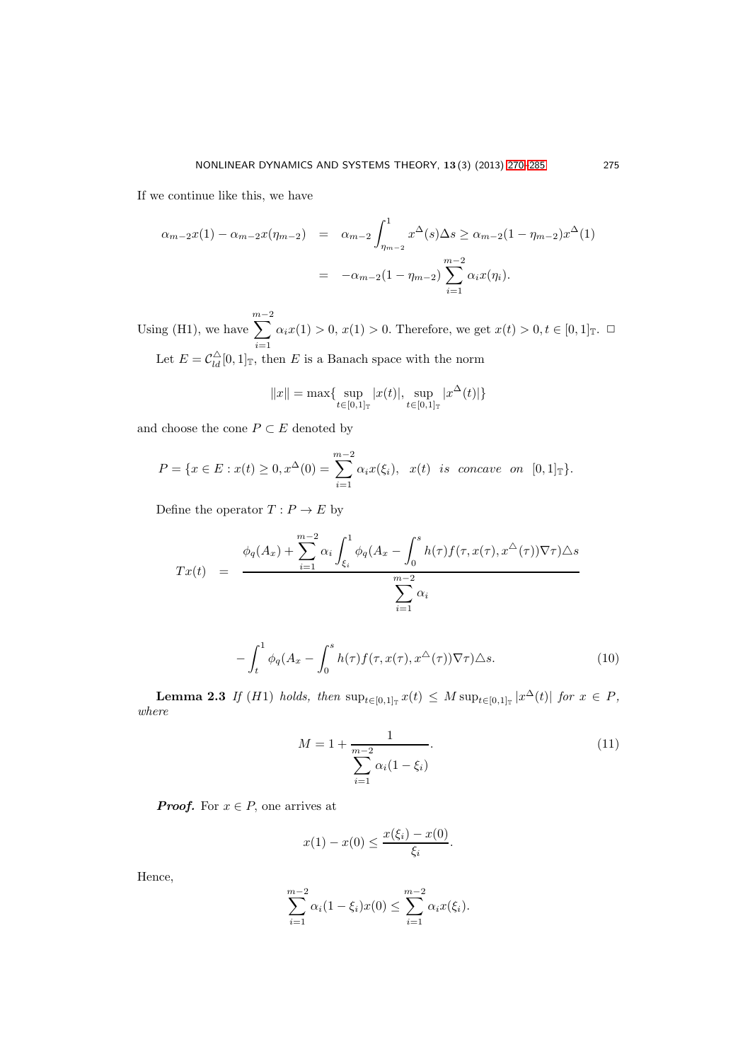If we continue like this, we have

$$
\alpha_{m-2}x(1) - \alpha_{m-2}x(\eta_{m-2}) = \alpha_{m-2} \int_{\eta_{m-2}}^{1} x^{\Delta}(s) \Delta s \ge \alpha_{m-2}(1 - \eta_{m-2})x^{\Delta}(1)
$$
  
=  $-\alpha_{m-2}(1 - \eta_{m-2}) \sum_{i=1}^{m-2} \alpha_i x(\eta_i).$ 

Using (H1), we have  $\sum^{m-2}$  $i=1$  $\alpha_i x(1) > 0, x(1) > 0.$  Therefore, we get  $x(t) > 0, t \in [0, 1]_T$ .  $\Box$ Let  $E = C_{ld}^{\triangle}[0,1]$ <sub>T</sub>, then E is a Banach space with the norm

$$
||x|| = \max\{\sup_{t \in [0,1]_{\mathbb{T}}} |x(t)|, \sup_{t \in [0,1]_{\mathbb{T}}} |x^{\Delta}(t)|\}
$$

and choose the cone  $P \subset E$  denoted by

$$
P = \{x \in E : x(t) \ge 0, x^{\Delta}(0) = \sum_{i=1}^{m-2} \alpha_i x(\xi_i), x(t) \text{ is concave on } [0,1]_{\mathbb{T}}\}.
$$

Define the operator  $T: P \to E$  by

$$
Tx(t) = \frac{\phi_q(A_x) + \sum_{i=1}^{m-2} \alpha_i \int_{\xi_i}^1 \phi_q(A_x - \int_0^s h(\tau) f(\tau, x(\tau), x^{\triangle}(\tau)) \nabla \tau) \triangle s}{\sum_{i=1}^{m-2} \alpha_i}
$$

<span id="page-5-2"></span>
$$
-\int_{t}^{1} \phi_{q}(A_{x}-\int_{0}^{s}h(\tau)f(\tau,x(\tau),x^{\Delta}(\tau))\nabla\tau)\Delta s. \tag{10}
$$

<span id="page-5-0"></span>**Lemma 2.3** If (H1) holds, then  $\sup_{t \in [0,1]_{\mathbb{T}}} x(t) \leq M \sup_{t \in [0,1]_{\mathbb{T}}} |x^{\Delta}(t)|$  for  $x \in P$ , *where*

<span id="page-5-1"></span>
$$
M = 1 + \frac{1}{\sum_{i=1}^{m-2} \alpha_i (1 - \xi_i)}.
$$
 (11)

**Proof.** For  $x \in P$ , one arrives at

$$
x(1) - x(0) \le \frac{x(\xi_i) - x(0)}{\xi_i}.
$$

Hence,

$$
\sum_{i=1}^{m-2} \alpha_i (1 - \xi_i) x(0) \le \sum_{i=1}^{m-2} \alpha_i x(\xi_i).
$$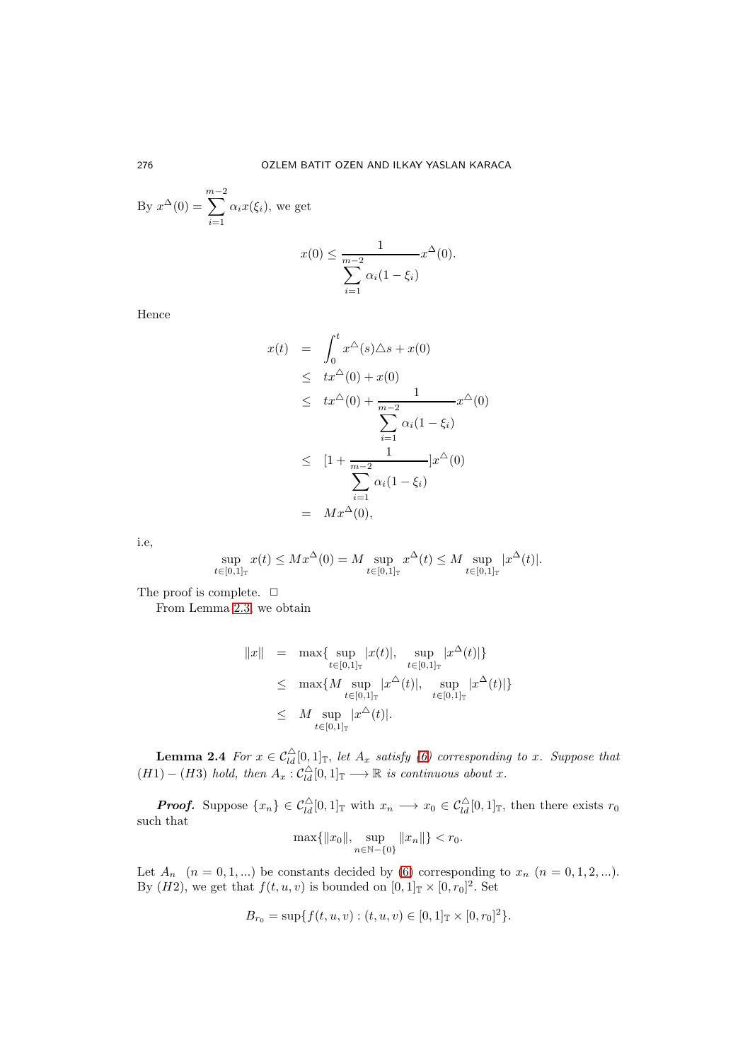By 
$$
x^{\Delta}(0) = \sum_{i=1}^{m-2} \alpha_i x(\xi_i)
$$
, we get

$$
x(0) \le \frac{1}{\sum_{i=1}^{m-2} \alpha_i (1 - \xi_i)} x^{\Delta}(0).
$$

Hence

$$
x(t) = \int_0^t x^{\Delta}(s) \Delta s + x(0)
$$
  
\n
$$
\leq tx^{\Delta}(0) + x(0)
$$
  
\n
$$
\leq tx^{\Delta}(0) + \frac{1}{\sum_{i=1}^{m-2} \alpha_i (1 - \xi_i)} x^{\Delta}(0)
$$
  
\n
$$
\leq [1 + \frac{1}{\sum_{i=1}^{m-2} \alpha_i (1 - \xi_i)}] x^{\Delta}(0)
$$
  
\n
$$
= Mx^{\Delta}(0),
$$

i.e,

$$
\sup_{t \in [0,1]_{\mathbb{T}}} x(t) \leq M x^{\Delta}(0) = M \sup_{t \in [0,1]_{\mathbb{T}}} x^{\Delta}(t) \leq M \sup_{t \in [0,1]_{\mathbb{T}}} |x^{\Delta}(t)|.
$$

The proof is complete.  $\Box$ 

From Lemma [2.3,](#page-5-0) we obtain

$$
||x|| = \max\{\sup_{t \in [0,1]_{\mathbb{T}}} |x(t)|, \sup_{t \in [0,1]_{\mathbb{T}}} |x^{\Delta}(t)|\}
$$
  
\n
$$
\leq \max\{M \sup_{t \in [0,1]_{\mathbb{T}}} |x^{\Delta}(t)|, \sup_{t \in [0,1]_{\mathbb{T}}} |x^{\Delta}(t)|\}
$$
  
\n
$$
\leq M \sup_{t \in [0,1]_{\mathbb{T}}} |x^{\Delta}(t)|.
$$

<span id="page-6-0"></span>**Lemma 2.4** For  $x \in C_{ld}^{\triangle}[0,1]$ <sub>T</sub>, let  $A_x$  satisfy [\(6\)](#page-2-2) corresponding to x. Suppose that  $(H1) - (H3)$  *hold, then*  $A_x$  :  $C_{ld}^{\triangle}[0,1]$ <sub>T</sub>  $\longrightarrow \mathbb{R}$  *is continuous about* x.

**Proof.** Suppose  $\{x_n\} \in C_{ld}^{\triangle}[0,1]$  with  $x_n \longrightarrow x_0 \in C_{ld}^{\triangle}[0,1]$  then there exists  $r_0$ such that

$$
\max\{\|x_0\|, \sup_{n \in \mathbb{N}-\{0\}} \|x_n\|\} < r_0.
$$

Let  $A_n$   $(n = 0, 1, ...)$  be constants decided by [\(6\)](#page-2-2) corresponding to  $x_n$   $(n = 0, 1, 2, ...)$ . By  $(H2)$ , we get that  $f(t, u, v)$  is bounded on  $[0, 1]_{\mathbb{T}} \times [0, r_0]^2$ . Set

$$
B_{r_0} = \sup\{f(t, u, v) : (t, u, v) \in [0, 1]_{\mathbb{T}} \times [0, r_0]^2\}.
$$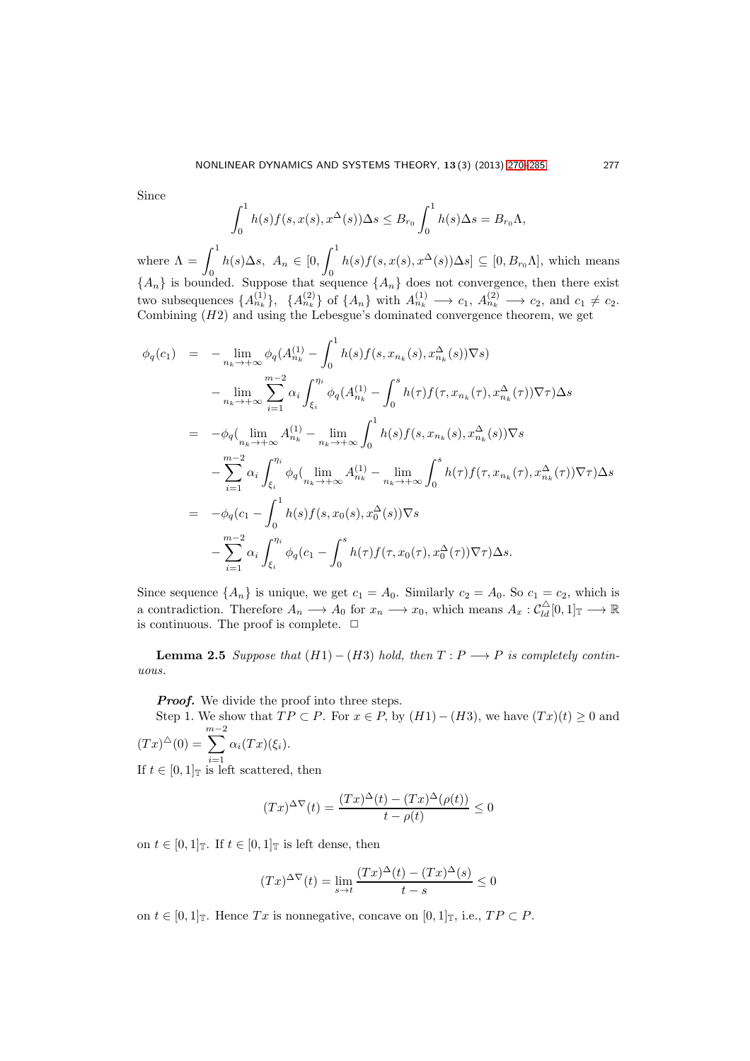Since

$$
\int_0^1 h(s)f(s,x(s),x^{\Delta}(s))\Delta s \leq B_{r_0}\int_0^1 h(s)\Delta s = B_{r_0}\Lambda,
$$

where  $\Lambda = \int_0^1$  $\int_0^1 h(s) \Delta s, \ A_n \in [0, \int_0^1]$  $\left\{\n\begin{array}{l} h(s)f(s,x(s),x^{\Delta}(s))\Delta s] \subseteq [0,B_{r_0}\Lambda],\n\end{array}\n\right.$  which means  ${A_n}$  is bounded. Suppose that sequence  ${A_n}$  does not convergence, then there exist two subsequences  $\{A_{n_k}^{(1)}\}, \{A_{n_k}^{(2)}\}$  of  $\{A_n\}$  with  $A_{n_k}^{(1)} \longrightarrow c_1, A_{n_k}^{(2)} \longrightarrow c_2$ , and  $c_1 \neq c_2$ . Combining  $(H2)$  and using the Lebesgue's dominated convergence theorem, we get

$$
\phi_q(c_1) = -\lim_{n_k \to +\infty} \phi_q(A_{n_k}^{(1)} - \int_0^1 h(s)f(s, x_{n_k}(s), x_{n_k}^{\Delta}(s))\nabla s)
$$
  
\n
$$
-\lim_{n_k \to +\infty} \sum_{i=1}^{m-2} \alpha_i \int_{\xi_i}^{\eta_i} \phi_q(A_{n_k}^{(1)} - \int_0^s h(\tau)f(\tau, x_{n_k}(\tau), x_{n_k}^{\Delta}(\tau))\nabla \tau) \Delta s
$$
  
\n
$$
= -\phi_q(\lim_{n_k \to +\infty} A_{n_k}^{(1)} - \lim_{n_k \to +\infty} \int_0^1 h(s)f(s, x_{n_k}(s), x_{n_k}^{\Delta}(s))\nabla s
$$
  
\n
$$
- \sum_{i=1}^{m-2} \alpha_i \int_{\xi_i}^{\eta_i} \phi_q(\lim_{n_k \to +\infty} A_{n_k}^{(1)} - \lim_{n_k \to +\infty} \int_0^s h(\tau)f(\tau, x_{n_k}(\tau), x_{n_k}^{\Delta}(\tau))\nabla \tau) \Delta s
$$
  
\n
$$
= -\phi_q(c_1 - \int_0^1 h(s)f(s, x_0(s), x_0^{\Delta}(s))\nabla s
$$
  
\n
$$
- \sum_{i=1}^{m-2} \alpha_i \int_{\xi_i}^{\eta_i} \phi_q(c_1 - \int_0^s h(\tau)f(\tau, x_0(\tau), x_0^{\Delta}(\tau))\nabla \tau) \Delta s.
$$

Since sequence  $\{A_n\}$  is unique, we get  $c_1 = A_0$ . Similarly  $c_2 = A_0$ . So  $c_1 = c_2$ , which is a contradiction. Therefore  $A_n \longrightarrow A_0$  for  $x_n \longrightarrow x_0$ , which means  $A_x : \mathcal{C}_{ld}^{\triangle}[0,1]_{\mathbb{T}} \longrightarrow \mathbb{R}$ is continuous. The proof is complete.  $\ \Box$ 

**Lemma 2.5** *Suppose that*  $(H1) - (H3)$  *hold, then*  $T: P \longrightarrow P$  *is completely continuous.*

**Proof.** We divide the proof into three steps.

Step 1. We show that  $TP \subset P$ . For  $x \in P$ , by  $(H1)-(H3)$ , we have  $(Tx)(t) \ge 0$  and  $(Tx)^{\triangle}(0) =$  $\sum^{m-2}$  $\alpha_i(T x)(\xi_i)$ .

 $i=1$ If  $t \in [0,1]_{\mathbb{T}}$  is left scattered, then

$$
(Tx)^{\Delta \nabla}(t) = \frac{(Tx)^{\Delta}(t) - (Tx)^{\Delta}(\rho(t))}{t - \rho(t)} \le 0
$$

on  $t \in [0,1]_{\mathbb{T}}$ . If  $t \in [0,1]_{\mathbb{T}}$  is left dense, then

$$
(Tx)^{\Delta \nabla}(t) = \lim_{s \to t} \frac{(Tx)^{\Delta}(t) - (Tx)^{\Delta}(s)}{t - s} \le 0
$$

on  $t \in [0,1]_T$ . Hence Tx is nonnegative, concave on  $[0,1]_T$ , i.e.,  $TP \subset P$ .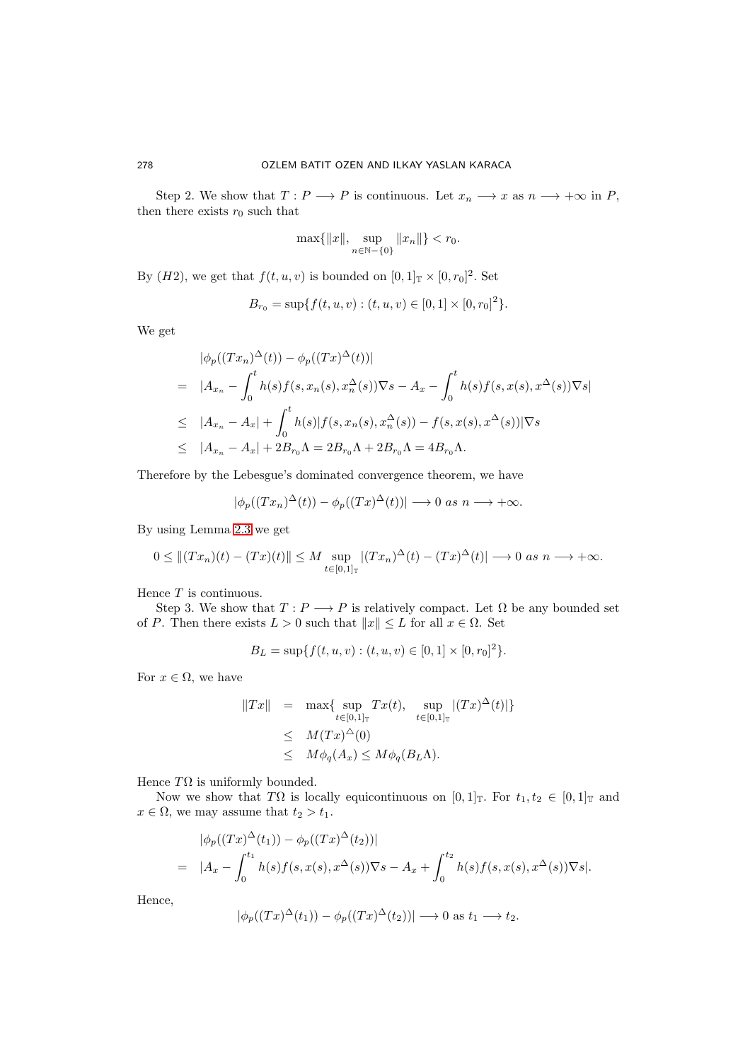Step 2. We show that  $T: P \longrightarrow P$  is continuous. Let  $x_n \longrightarrow x$  as  $n \longrightarrow +\infty$  in P, then there exists  $r_0$  such that

$$
\max\{\|x\|, \sup_{n \in \mathbb{N}-\{0\}} \|x_n\|\} < r_0.
$$

By  $(H2)$ , we get that  $f(t, u, v)$  is bounded on  $[0, 1]_{\mathbb{T}} \times [0, r_0]^2$ . Set

$$
B_{r_0} = \sup\{f(t, u, v) : (t, u, v) \in [0, 1] \times [0, r_0]^2\}.
$$

We get

$$
\begin{split}\n|\phi_p((Tx_n)^{\Delta}(t)) - \phi_p((Tx)^{\Delta}(t))| \\
= |A_{x_n} - \int_0^t h(s)f(s, x_n(s), x_n^{\Delta}(s))\nabla s - A_x - \int_0^t h(s)f(s, x(s), x^{\Delta}(s))\nabla s| \\
\leq |A_{x_n} - A_x| + \int_0^t h(s)|f(s, x_n(s), x_n^{\Delta}(s)) - f(s, x(s), x^{\Delta}(s))|\nabla s \\
\leq |A_{x_n} - A_x| + 2B_{r_0}\Lambda = 2B_{r_0}\Lambda + 2B_{r_0}\Lambda = 4B_{r_0}\Lambda.\n\end{split}
$$

Therefore by the Lebesgue's dominated convergence theorem, we have

$$
|\phi_p((Tx_n)^{\Delta}(t)) - \phi_p((Tx)^{\Delta}(t))| \longrightarrow 0 \text{ as } n \longrightarrow +\infty.
$$

By using Lemma [2.3](#page-5-0) we get

$$
0 \leq ||(Tx_n)(t) - (Tx)(t)|| \leq M \sup_{t \in [0,1]_T} |(Tx_n)^{\Delta}(t) - (Tx)^{\Delta}(t)| \longrightarrow 0 \text{ as } n \longrightarrow +\infty.
$$

Hence  $T$  is continuous.

Step 3. We show that  $T: P \longrightarrow P$  is relatively compact. Let  $\Omega$  be any bounded set of P. Then there exists  $L > 0$  such that  $||x|| \leq L$  for all  $x \in \Omega$ . Set

$$
B_L = \sup\{f(t, u, v) : (t, u, v) \in [0, 1] \times [0, r_0]^2\}.
$$

For  $x \in \Omega$ , we have

$$
||Tx|| = \max\{\sup_{t \in [0,1]_{\mathbb{T}}} Tx(t), \sup_{t \in [0,1]_{\mathbb{T}}} |(Tx)^{\Delta}(t)|\}
$$
  

$$
\leq M(Tx)^{\Delta}(0)
$$
  

$$
\leq M\phi_q(A_x) \leq M\phi_q(B_L\Lambda).
$$

Hence  $T\Omega$  is uniformly bounded.

Now we show that T $\Omega$  is locally equicontinuous on  $[0, 1]_T$ . For  $t_1, t_2 \in [0, 1]_T$  and  $x \in \Omega$ , we may assume that  $t_2 > t_1$ .

$$
|\phi_p((Tx)^{\Delta}(t_1)) - \phi_p((Tx)^{\Delta}(t_2))|
$$
  
=  $|A_x - \int_0^{t_1} h(s)f(s, x(s), x^{\Delta}(s))\nabla s - A_x + \int_0^{t_2} h(s)f(s, x(s), x^{\Delta}(s))\nabla s|.$ 

Hence,

$$
|\phi_p((Tx)^{\Delta}(t_1)) - \phi_p((Tx)^{\Delta}(t_2))| \longrightarrow 0 \text{ as } t_1 \longrightarrow t_2.
$$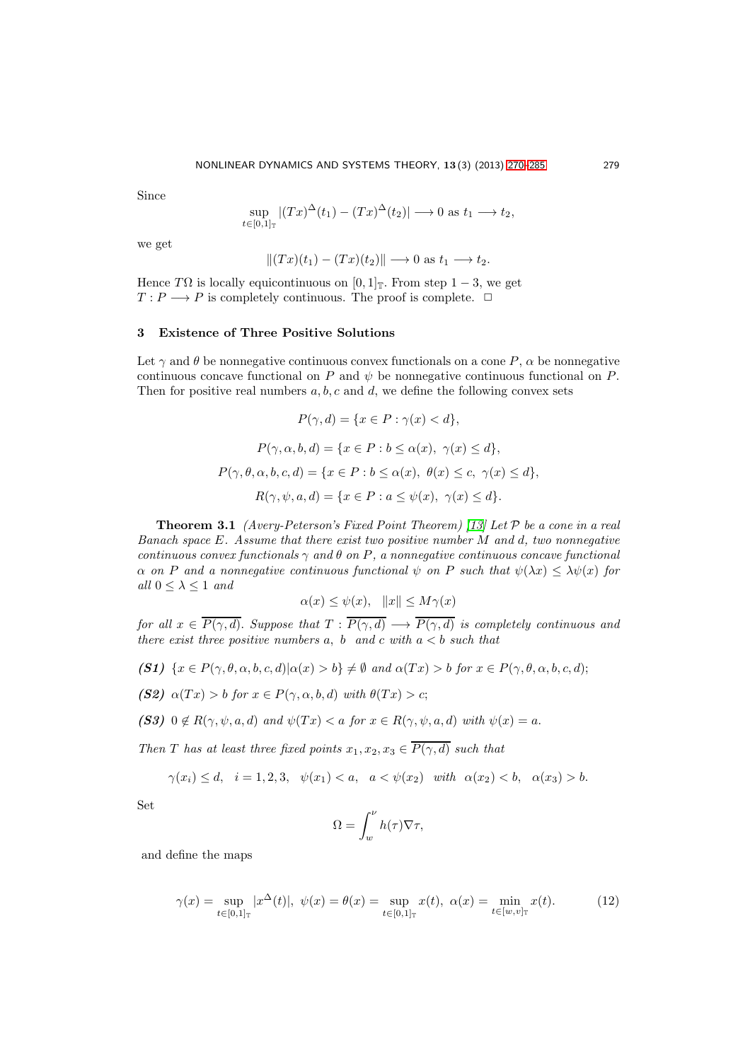Since

$$
\sup_{t\in[0,1]_{\mathbb{T}}} |(Tx)^{\Delta}(t_1) - (Tx)^{\Delta}(t_2)| \longrightarrow 0 \text{ as } t_1 \longrightarrow t_2,
$$

we get

$$
||(Tx)(t_1)-(Tx)(t_2)|| \longrightarrow 0 \text{ as } t_1 \longrightarrow t_2.
$$

Hence TQ is locally equicontinuous on [0, 1]<sub>T</sub>. From step  $1-3$ , we get  $T: P \longrightarrow P$  is completely continuous. The proof is complete.  $\Box$ 

### 3 Existence of Three Positive Solutions

Let  $\gamma$  and  $\theta$  be nonnegative continuous convex functionals on a cone P,  $\alpha$  be nonnegative continuous concave functional on P and  $\psi$  be nonnegative continuous functional on P. Then for positive real numbers  $a, b, c$  and  $d$ , we define the following convex sets

$$
P(\gamma, d) = \{x \in P : \gamma(x) < d\},
$$
\n
$$
P(\gamma, \alpha, b, d) = \{x \in P : b \le \alpha(x), \ \gamma(x) \le d\},
$$
\n
$$
P(\gamma, \theta, \alpha, b, c, d) = \{x \in P : b \le \alpha(x), \ \theta(x) \le c, \ \gamma(x) \le d\},
$$
\n
$$
R(\gamma, \psi, a, d) = \{x \in P : a \le \psi(x), \ \gamma(x) \le d\}.
$$

<span id="page-9-0"></span>Theorem 3.1 *(Avery-Peterson's Fixed Point Theorem) [\[13\]](#page-15-7) Let* P *be a cone in a real Banach space* E*. Assume that there exist two positive number* M *and* d*, two nonnegative continuous convex functionals* γ *and* θ *on* P*, a nonnegative continuous concave functional*  $\alpha$  *on* P and a nonnegative continuous functional  $\psi$  *on* P *such that*  $\psi(\lambda x) \leq \lambda \psi(x)$  for  $all 0 \leq \lambda \leq 1$  and

$$
\alpha(x) \le \psi(x), \quad ||x|| \le M\gamma(x)
$$

*for all*  $x \in \overline{P(\gamma, d)}$ . *Suppose that*  $T : \overline{P(\gamma, d)} \longrightarrow \overline{P(\gamma, d)}$  *is completely continuous and there exist three positive numbers*  $a, b$  *and*  $c$  *with*  $a < b$  *such that* 

- (S1)  $\{x \in P(\gamma, \theta, \alpha, b, c, d) | \alpha(x) > b\} \neq \emptyset$  and  $\alpha(Tx) > b$  for  $x \in P(\gamma, \theta, \alpha, b, c, d);$
- (S2)  $\alpha(Tx) > b$  for  $x \in P(\gamma, \alpha, b, d)$  with  $\theta(Tx) > c$ ;
- (S3)  $0 \notin R(\gamma, \psi, a, d)$  and  $\psi(Tx) < a$  for  $x \in R(\gamma, \psi, a, d)$  with  $\psi(x) = a$ .

*Then T has at least three fixed points*  $x_1, x_2, x_3 \in \overline{P(\gamma, d)}$  *such that* 

$$
\gamma(x_i) \le d, \quad i = 1, 2, 3, \quad \psi(x_1) < a, \quad a < \psi(x_2) \quad \text{with} \quad \alpha(x_2) < b, \quad \alpha(x_3) > b.
$$

Set

$$
\Omega = \int_w^{\nu} h(\tau) \nabla \tau,
$$

and define the maps

<span id="page-9-2"></span><span id="page-9-1"></span>
$$
\gamma(x) = \sup_{t \in [0,1]_{\mathbb{T}}} |x^{\Delta}(t)|, \ \psi(x) = \theta(x) = \sup_{t \in [0,1]_{\mathbb{T}}} x(t), \ \alpha(x) = \min_{t \in [w,v]_{\mathbb{T}}} x(t). \tag{12}
$$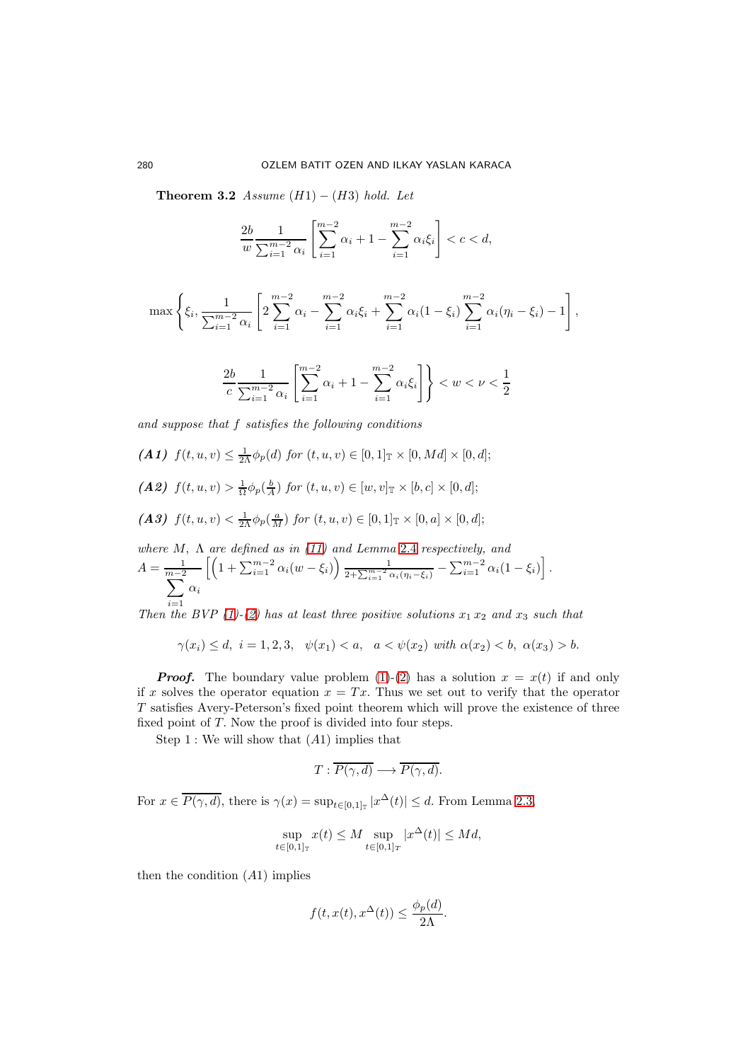Theorem 3.2  $Assume(H1) - (H3) hold. Let$ 

$$
\frac{2b}{w} \frac{1}{\sum_{i=1}^{m-2} \alpha_i} \left[ \sum_{i=1}^{m-2} \alpha_i + 1 - \sum_{i=1}^{m-2} \alpha_i \xi_i \right] < c < d,
$$

$$
\max\left\{\xi_i,\frac{1}{\sum_{i=1}^{m-2}\alpha_i}\left[2\sum_{i=1}^{m-2}\alpha_i-\sum_{i=1}^{m-2}\alpha_i\xi_i+\sum_{i=1}^{m-2}\alpha_i(1-\xi_i)\sum_{i=1}^{m-2}\alpha_i(\eta_i-\xi_i)-1\right],\right\}
$$

$$
\frac{2b}{c} \frac{1}{\sum_{i=1}^{m-2} \alpha_i} \left[ \sum_{i=1}^{m-2} \alpha_i + 1 - \sum_{i=1}^{m-2} \alpha_i \xi_i \right] \right\} < w < \nu < \frac{1}{2}
$$

*and suppose that* f *satisfies the following conditions*

(A1)  $f(t, u, v) \leq \frac{1}{2\Lambda} \phi_p(d)$  for  $(t, u, v) \in [0, 1]_{\mathbb{T}} \times [0, Md] \times [0, d]$ ; (A2)  $f(t, u, v) > \frac{1}{\Omega} \phi_p(\frac{b}{A})$  for  $(t, u, v) \in [w, v]_{\mathbb{T}} \times [b, c] \times [0, d]$ ; (A3)  $f(t, u, v) < \frac{1}{2\Lambda} \phi_p(\frac{a}{M})$  for  $(t, u, v) \in [0, 1]_{\mathbb{T}} \times [0, a] \times [0, d]$ ; *where* M, Λ *are defined as in [\(11\)](#page-5-1) and Lemma* [2.4](#page-6-0) *respectively, and* 1  $\setminus$ 1

$$
A = \frac{1}{m-2} \left[ \left( 1 + \sum_{i=1}^{m-2} \alpha_i (w - \xi_i) \right) \frac{1}{2 + \sum_{i=1}^{m-2} \alpha_i (\eta_i - \xi_i)} - \sum_{i=1}^{m-2} \alpha_i (1 - \xi_i) \right].
$$
  

$$
\sum_{i=1}^{m-2} \alpha_i
$$

*Then the BVP* [\(1\)](#page-1-0)<sup>*-*</sup>[\(2\)](#page-1-0) has at least three positive solutions  $x_1 x_2$  *and*  $x_3$  *such that* 

$$
\gamma(x_i) \le d, \ i = 1, 2, 3, \quad \psi(x_1) < a, \quad a < \psi(x_2) \ \text{with} \ \alpha(x_2) < b, \ \alpha(x_3) > b.
$$

**Proof.** The boundary value problem [\(1\)](#page-1-0)-[\(2\)](#page-1-0) has a solution  $x = x(t)$  if and only if x solves the operator equation  $x = Tx$ . Thus we set out to verify that the operator T satisfies Avery-Peterson's fixed point theorem which will prove the existence of three fixed point of T. Now the proof is divided into four steps.

Step 1 : We will show that  $(A1)$  implies that

$$
T: \overline{P(\gamma, d)} \longrightarrow \overline{P(\gamma, d)}.
$$

For  $x \in \overline{P(\gamma, d)}$ , there is  $\gamma(x) = \sup_{t \in [0, 1]_{\mathbb{T}}} |x^{\Delta}(t)| \le d$ . From Lemma [2.3,](#page-5-0)

$$
\sup_{t \in [0,1]_T} x(t) \le M \sup_{t \in [0,1]_T} |x^{\Delta}(t)| \le Md,
$$

then the condition  $(A1)$  implies

$$
f(t, x(t), x^{\Delta}(t)) \le \frac{\phi_p(d)}{2\Lambda}.
$$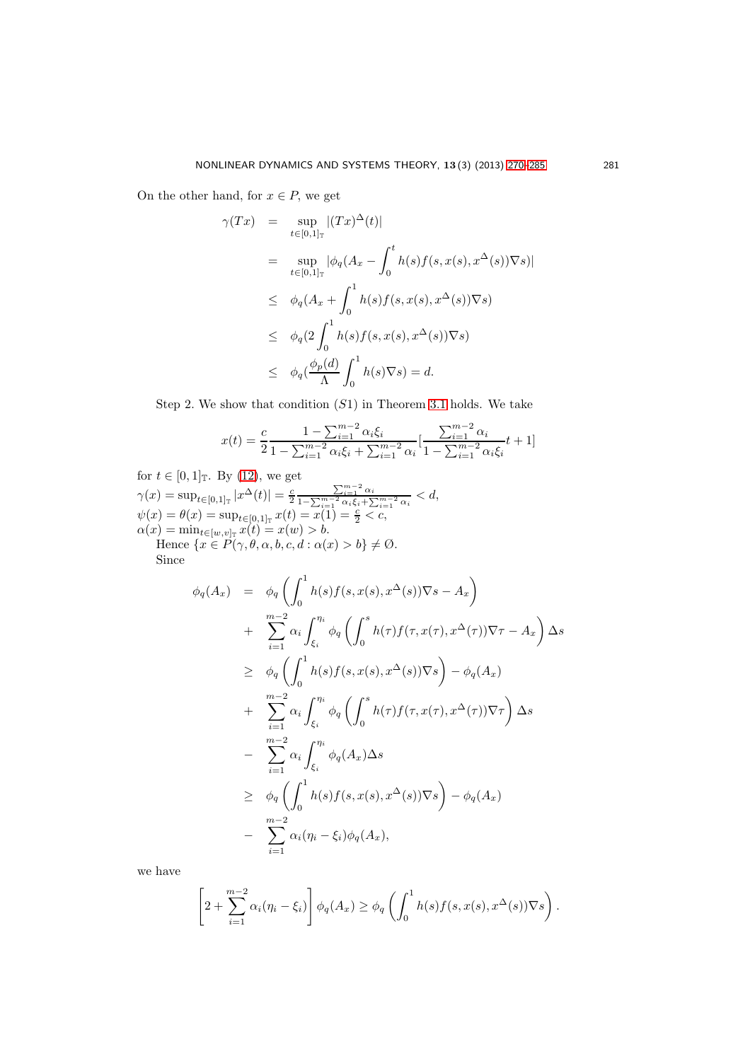On the other hand, for  $x \in P$ , we get

$$
\gamma(Tx) = \sup_{t \in [0,1]_{\mathbb{T}}} |(Tx)^{\Delta}(t)|
$$
  
\n
$$
= \sup_{t \in [0,1]_{\mathbb{T}}} |\phi_q(A_x - \int_0^t h(s)f(s,x(s),x^{\Delta}(s))\nabla s)|
$$
  
\n
$$
\leq \phi_q(A_x + \int_0^1 h(s)f(s,x(s),x^{\Delta}(s))\nabla s)
$$
  
\n
$$
\leq \phi_q(2\int_0^1 h(s)f(s,x(s),x^{\Delta}(s))\nabla s)
$$
  
\n
$$
\leq \phi_q(\frac{\phi_p(d)}{\Lambda}\int_0^1 h(s)\nabla s) = d.
$$

Step 2. We show that condition  $(S1)$  in Theorem [3.1](#page-9-0) holds. We take

$$
x(t) = \frac{c}{2} \frac{1 - \sum_{i=1}^{m-2} \alpha_i \xi_i}{1 - \sum_{i=1}^{m-2} \alpha_i \xi_i + \sum_{i=1}^{m-2} \alpha_i} \left[ \frac{\sum_{i=1}^{m-2} \alpha_i}{1 - \sum_{i=1}^{m-2} \alpha_i \xi_i} t + 1 \right]
$$

for  $t \in [0,1]$  T. By [\(12\)](#page-9-1), we get  $\gamma(x) = \sup_{t \in [0,1]_{\mathbb{T}}} |x^{\Delta}(t)| = \frac{c}{2}$  $\sum_{i=1}^{m-2} \alpha_i$  $\frac{\sum_{i=1}^{\infty} \alpha_i}{1-\sum_{i=1}^{m-2} \alpha_i \xi_i + \sum_{i=1}^{m-2} \alpha_i} < d,$  $\psi(x) = \theta(x) = \sup_{t \in [0,1]_{\mathbb{T}}} x(t) = \overline{x(1)} = \frac{c}{2} < c,$  $\alpha(x) = \min_{t \in [w,v]_{\mathbb{T}}} x(t) = x(w) > b.$ Hence  $\{x \in P(\gamma, \theta, \alpha, b, c, d : \alpha(x) > b\} \neq \emptyset$ . Since

$$
\phi_q(A_x) = \phi_q\left(\int_0^1 h(s)f(s, x(s), x^{\Delta}(s))\nabla s - A_x\right) \n+ \sum_{i=1}^{m-2} \alpha_i \int_{\xi_i}^{\eta_i} \phi_q\left(\int_0^s h(\tau)f(\tau, x(\tau), x^{\Delta}(\tau))\nabla \tau - A_x\right) \Delta s \n\geq \phi_q\left(\int_0^1 h(s)f(s, x(s), x^{\Delta}(s))\nabla s\right) - \phi_q(A_x) \n+ \sum_{i=1}^{m-2} \alpha_i \int_{\xi_i}^{\eta_i} \phi_q\left(\int_0^s h(\tau)f(\tau, x(\tau), x^{\Delta}(\tau))\nabla \tau\right) \Delta s \n- \sum_{i=1}^{m-2} \alpha_i \int_{\xi_i}^{\eta_i} \phi_q(A_x) \Delta s \n\geq \phi_q\left(\int_0^1 h(s)f(s, x(s), x^{\Delta}(s))\nabla s\right) - \phi_q(A_x) \n- \sum_{i=1}^{m-2} \alpha_i(\eta_i - \xi_i)\phi_q(A_x),
$$

we have

$$
\left[2+\sum_{i=1}^{m-2}\alpha_i(\eta_i-\xi_i)\right]\phi_q(A_x)\geq\phi_q\left(\int_0^1h(s)f(s,x(s),x^{\Delta}(s))\nabla s\right).
$$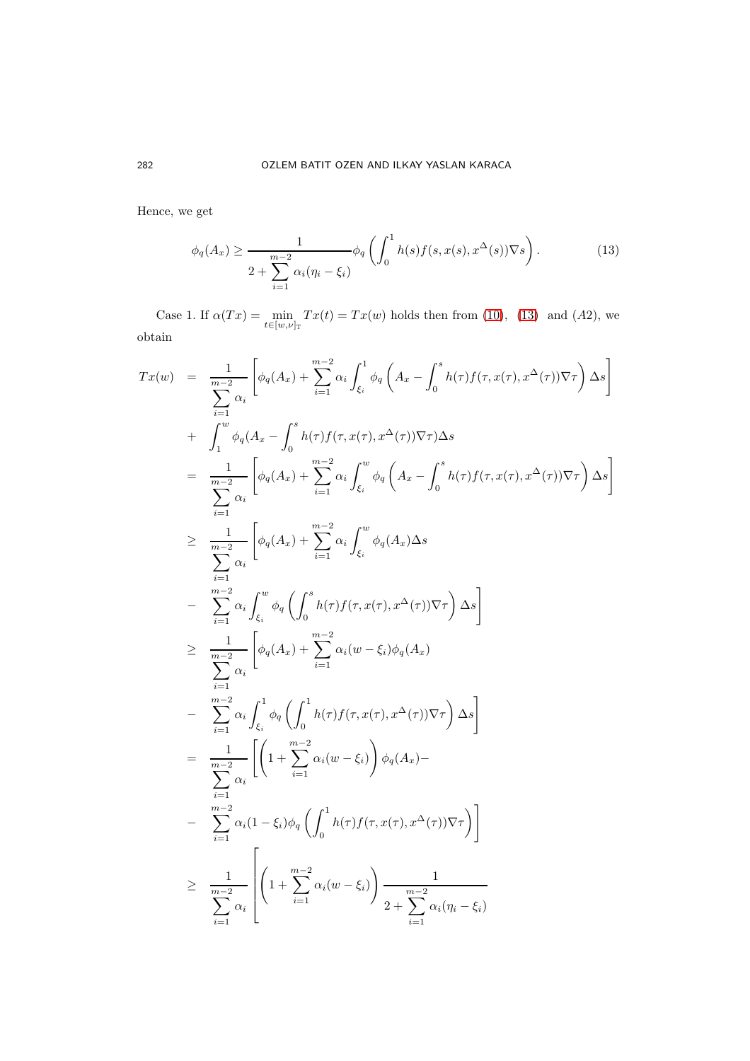Hence, we get

<span id="page-12-0"></span>
$$
\phi_q(A_x) \ge \frac{1}{2\sum_{i=1}^{m-2} \alpha_i(\eta_i - \xi_i)} \phi_q\left(\int_0^1 h(s) f(s, x(s), x^{\Delta}(s)) \nabla s\right).
$$
\n(13)

Case 1. If  $\alpha(Tx) = \min_{t \in [w,\nu]_{\mathbb{T}}} Tx(t) = Tx(w)$  holds then from [\(10\)](#page-5-2), [\(13\)](#page-12-0) and (A2), we obtain

$$
Tx(w) = \frac{1}{\sum_{i=1}^{m-2} \alpha_i} \left[ \phi_q(A_x) + \sum_{i=1}^{m-2} \alpha_i \int_{\xi_i}^1 \phi_q\left(A_x - \int_0^s h(\tau) f(\tau, x(\tau), x^{\Delta}(\tau)) \nabla \tau \right) \Delta s \right]
$$
  
+ 
$$
\int_1^w \phi_q(A_x - \int_0^s h(\tau) f(\tau, x(\tau), x^{\Delta}(\tau)) \nabla \tau) \Delta s
$$
  
= 
$$
\frac{1}{\sum_{i=1}^{m-2} \alpha_i} \left[ \phi_q(A_x) + \sum_{i=1}^{m-2} \alpha_i \int_{\xi_i}^w \phi_q\left(A_x - \int_0^s h(\tau) f(\tau, x(\tau), x^{\Delta}(\tau)) \nabla \tau \right) \Delta s \right]
$$
  

$$
\geq \frac{1}{\sum_{i=1}^{m-2} \alpha_i} \left[ \phi_q(A_x) + \sum_{i=1}^{m-2} \alpha_i \int_{\xi_i}^w \phi_q(A_x) \Delta s
$$
  
- 
$$
\sum_{i=1}^{m-2} \alpha_i \int_{\xi_i}^w \phi_q\left( \int_0^s h(\tau) f(\tau, x(\tau), x^{\Delta}(\tau)) \nabla \tau \right) \Delta s \right]
$$
  

$$
\geq \frac{1}{\sum_{i=1}^{m-2} \alpha_i} \left[ \phi_q(A_x) + \sum_{i=1}^{m-2} \alpha_i (w - \xi_i) \phi_q(A_x) \right]
$$
  
- 
$$
\sum_{i=1}^{m-2} \alpha_i \int_{\xi_i}^1 \phi_q\left( \int_0^1 h(\tau) f(\tau, x(\tau), x^{\Delta}(\tau)) \nabla \tau \right) \Delta s \right]
$$
  
= 
$$
\frac{1}{\sum_{i=1}^{m-2} \alpha_i} \left[ \left( 1 + \sum_{i=1}^{m-2} \alpha_i (w - \xi_i) \right) \phi_q(A_x) - \sum_{i=1}^{m-2} \alpha_i (1 - \xi_i) \phi_q\left( \int_0^1 h(\tau) f(\tau, x(\tau), x^{\Delta}(\tau)) \nabla \tau \right) \right]
$$
  

$$
\geq \frac{1}{\sum_{i=1}^{m-2} \alpha_i} \left
$$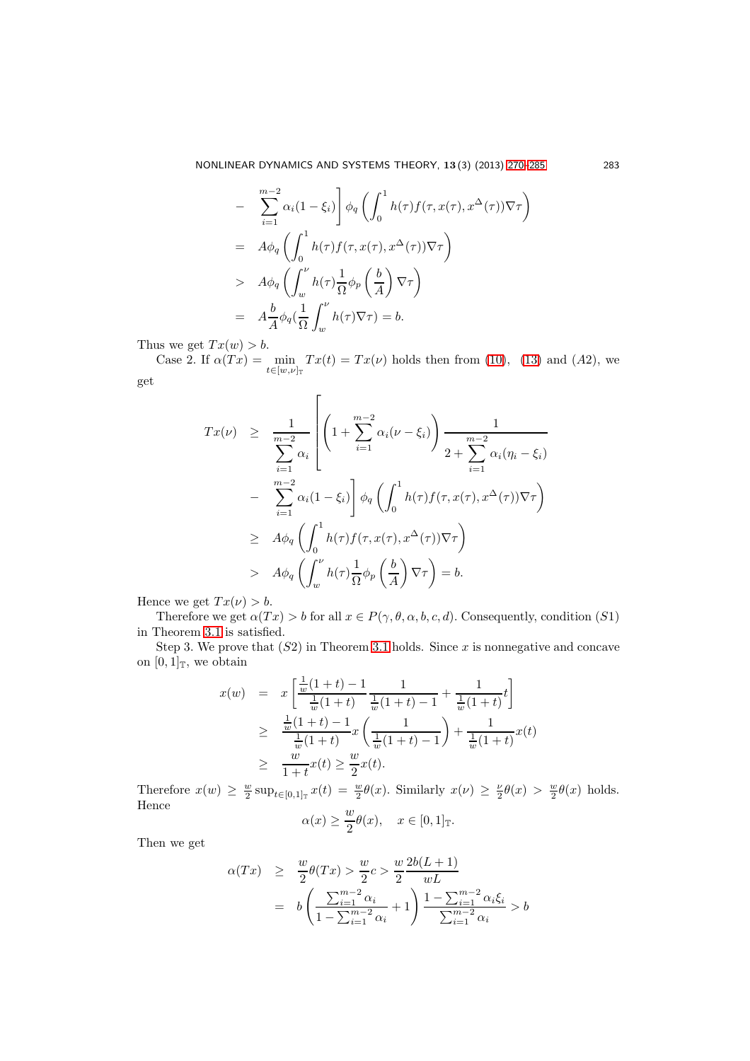$$
- \sum_{i=1}^{m-2} \alpha_i (1 - \xi_i) \bigg] \phi_q \left( \int_0^1 h(\tau) f(\tau, x(\tau), x^\Delta(\tau)) \nabla \tau \right)
$$
  
=  $A \phi_q \left( \int_0^1 h(\tau) f(\tau, x(\tau), x^\Delta(\tau)) \nabla \tau \right)$   
 $\rangle A \phi_q \left( \int_w^\nu h(\tau) \frac{1}{\Omega} \phi_p \left( \frac{b}{A} \right) \nabla \tau \right)$   
=  $A \frac{b}{A} \phi_q (\frac{1}{\Omega} \int_w^\nu h(\tau) \nabla \tau) = b.$ 

Thus we get  $Tx(w) > b$ .

Case 2. If  $\alpha(Tx) = \min_{t \in [w,\nu]_{\mathbb{T}}} Tx(t) = Tx(\nu)$  holds then from [\(10\)](#page-5-2), [\(13\)](#page-12-0) and (A2), we get

$$
Tx(\nu) \geq \frac{1}{\sum_{i=1}^{m-2} \alpha_i} \left[ \left( 1 + \sum_{i=1}^{m-2} \alpha_i (\nu - \xi_i) \right) \frac{1}{2 + \sum_{i=1}^{m-2} \alpha_i (\eta_i - \xi_i)} - \sum_{i=1}^{m-2} \alpha_i (1 - \xi_i) \right] \phi_q \left( \int_0^1 h(\tau) f(\tau, x(\tau), x^{\Delta}(\tau)) \nabla \tau \right)
$$
  

$$
\geq A \phi_q \left( \int_0^1 h(\tau) f(\tau, x(\tau), x^{\Delta}(\tau)) \nabla \tau \right)
$$
  

$$
A \phi_q \left( \int_w^{\nu} h(\tau) \frac{1}{\Omega} \phi_p \left( \frac{b}{A} \right) \nabla \tau \right) = b.
$$

Hence we get  $Tx(\nu) > b$ .

Therefore we get  $\alpha(Tx) > b$  for all  $x \in P(\gamma, \theta, \alpha, b, c, d)$ . Consequently, condition (S1) in Theorem [3.1](#page-9-0) is satisfied.

Step 3. We prove that  $(S2)$  in Theorem [3.1](#page-9-0) holds. Since x is nonnegative and concave on  $[0,1]_T$ , we obtain

$$
x(w) = x \left[ \frac{\frac{1}{w}(1+t) - 1}{\frac{1}{w}(1+t)} \frac{1}{\frac{1}{w}(1+t) - 1} + \frac{1}{\frac{1}{w}(1+t)} t \right]
$$
  
\n
$$
\geq \frac{\frac{1}{w}(1+t) - 1}{\frac{1}{w}(1+t)} x \left( \frac{1}{\frac{1}{w}(1+t) - 1} \right) + \frac{1}{\frac{1}{w}(1+t)} x(t)
$$
  
\n
$$
\geq \frac{w}{1+t} x(t) \geq \frac{w}{2} x(t).
$$

Therefore  $x(w) \geq \frac{w}{2} \sup_{t \in [0,1]_{\mathbb{T}}} x(t) = \frac{w}{2} \theta(x)$ . Similarly  $x(\nu) \geq \frac{\nu}{2} \theta(x) > \frac{w}{2} \theta(x)$  holds. Hence  $\omega$ 

$$
\alpha(x) \ge \frac{w}{2}\theta(x), \quad x \in [0,1]_{\mathbb{T}}.
$$

Then we get

$$
\alpha(Tx) \geq \frac{w}{2}\theta(Tx) > \frac{w}{2}c > \frac{w}{2}\frac{2b(L+1)}{wL}
$$
  
=  $b\left(\frac{\sum_{i=1}^{m-2} \alpha_i}{1 - \sum_{i=1}^{m-2} \alpha_i} + 1\right) \frac{1 - \sum_{i=1}^{m-2} \alpha_i \xi_i}{\sum_{i=1}^{m-2} \alpha_i} > b$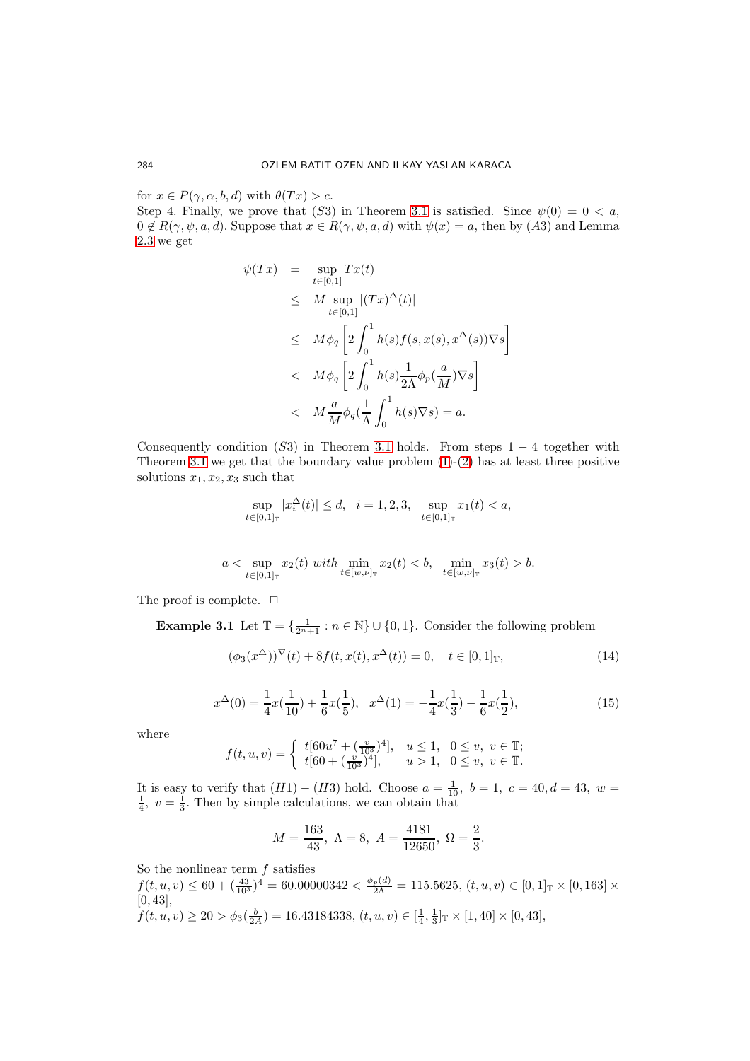for  $x \in P(\gamma, \alpha, b, d)$  with  $\theta(Tx) > c$ .

Step 4. Finally, we prove that (S3) in Theorem [3.1](#page-9-0) is satisfied. Since  $\psi(0) = 0 < a$ ,  $0 \notin R(\gamma, \psi, a, d)$ . Suppose that  $x \in R(\gamma, \psi, a, d)$  with  $\psi(x) = a$ , then by (A3) and Lemma [2.3](#page-5-0) we get

$$
\psi(Tx) = \sup_{t \in [0,1]} Tx(t)
$$
\n
$$
\leq M \sup_{t \in [0,1]} |(Tx)^{\Delta}(t)|
$$
\n
$$
\leq M \phi_q \left[ 2 \int_0^1 h(s) f(s, x(s), x^{\Delta}(s)) \nabla s \right]
$$
\n
$$
< M \phi_q \left[ 2 \int_0^1 h(s) \frac{1}{2\Lambda} \phi_p(\frac{a}{M}) \nabla s \right]
$$
\n
$$
< M \frac{a}{M} \phi_q(\frac{1}{\Lambda} \int_0^1 h(s) \nabla s) = a.
$$

Consequently condition  $(S3)$  in Theorem [3.1](#page-9-0) holds. From steps  $1 - 4$  together with Theorem [3.1](#page-9-0) we get that the boundary value problem  $(1)-(2)$  $(1)-(2)$  has at least three positive solutions  $x_1, x_2, x_3$  such that

$$
\sup_{t \in [0,1]_{\mathbb{T}}} |x_i^{\Delta}(t)| \le d, \quad i = 1,2,3, \quad \sup_{t \in [0,1]_{\mathbb{T}}} x_1(t) < a,
$$

$$
a < \sup_{t \in [0,1]_{\mathbb{T}}} x_2(t) \text{ with } \min_{t \in [w,\nu]_{\mathbb{T}}} x_2(t) < b, \quad \min_{t \in [w,\nu]_{\mathbb{T}}} x_3(t) > b.
$$

The proof is complete.  $\Box$ 

**Example 3.1** Let  $\mathbb{T} = \{\frac{1}{2^n+1} : n \in \mathbb{N}\} \cup \{0,1\}$ . Consider the following problem

<span id="page-14-0"></span>
$$
(\phi_3(x^{\Delta}))^{\nabla}(t) + 8f(t, x(t), x^{\Delta}(t)) = 0, \quad t \in [0, 1]_{\mathbb{T}},
$$
\n(14)

<span id="page-14-1"></span>
$$
x^{\Delta}(0) = \frac{1}{4}x(\frac{1}{10}) + \frac{1}{6}x(\frac{1}{5}), \quad x^{\Delta}(1) = -\frac{1}{4}x(\frac{1}{3}) - \frac{1}{6}x(\frac{1}{2}),\tag{15}
$$

where

$$
f(t, u, v) = \begin{cases} t[60u^7 + (\frac{v}{103})^4], & u \le 1, 0 \le v, v \in \mathbb{T};\\ t[60 + (\frac{v}{103})^4], & u > 1, 0 \le v, v \in \mathbb{T}. \end{cases}
$$

It is easy to verify that  $(H1) - (H3)$  hold. Choose  $a = \frac{1}{10}$ ,  $b = 1$ ,  $c = 40$ ,  $d = 43$ ,  $w = \frac{1}{4}$ ,  $v = \frac{1}{3}$ . Then by simple calculations, we can obtain that

$$
M = \frac{163}{43}, \ \Lambda = 8, \ A = \frac{4181}{12650}, \ \Omega = \frac{2}{3}.
$$

So the nonlinear term  $f$  satisfies

$$
f(t, u, v) \le 60 + \left(\frac{43}{10^3}\right)^4 = 60.00000342 < \frac{\phi_p(d)}{2\Lambda} = 115.5625, (t, u, v) \in [0, 1]_{\mathbb{T}} \times [0, 163] \times [0, 43],
$$
  

$$
f(t, u, v) \ge 20 > \phi_3(\frac{b}{2A}) = 16.43184338, (t, u, v) \in [\frac{1}{4}, \frac{1}{3}]_{\mathbb{T}} \times [1, 40] \times [0, 43],
$$